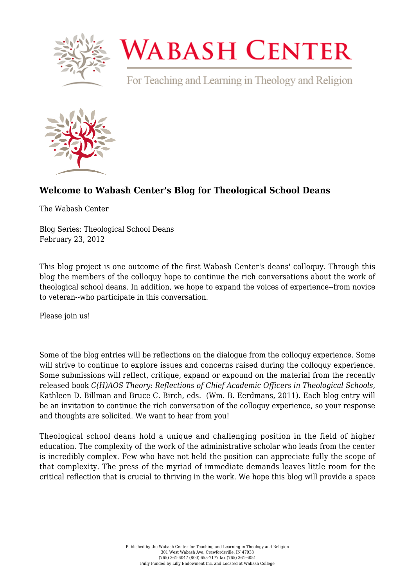

## **WABASH CENTER**

For Teaching and Learning in Theology and Religion



## **[Welcome to Wabash Center's Blog for Theological School Deans](https://www.wabashcenter.wabash.edu/2012/02/welcome-to-wabash-centers-blog-for-theological-school-deans/)**

The Wabash Center

Blog Series: Theological School Deans February 23, 2012

This blog project is one outcome of the first Wabash Center's deans' colloquy. Through this blog the members of the colloquy hope to continue the rich conversations about the work of theological school deans. In addition, we hope to expand the voices of experience--from novice to veteran--who participate in this conversation.

Please join us!

Some of the blog entries will be reflections on the dialogue from the colloquy experience. Some will strive to continue to explore issues and concerns raised during the colloguy experience. Some submissions will reflect, critique, expand or expound on the material from the recently released book *C(H)AOS Theory: Reflections of Chief Academic Officers in Theological Schools*, Kathleen D. Billman and Bruce C. Birch, eds. (Wm. B. Eerdmans, 2011). Each blog entry will be an invitation to continue the rich conversation of the colloquy experience, so your response and thoughts are solicited. We want to hear from you!

Theological school deans hold a unique and challenging position in the field of higher education. The complexity of the work of the administrative scholar who leads from the center is incredibly complex. Few who have not held the position can appreciate fully the scope of that complexity. The press of the myriad of immediate demands leaves little room for the critical reflection that is crucial to thriving in the work. We hope this blog will provide a space